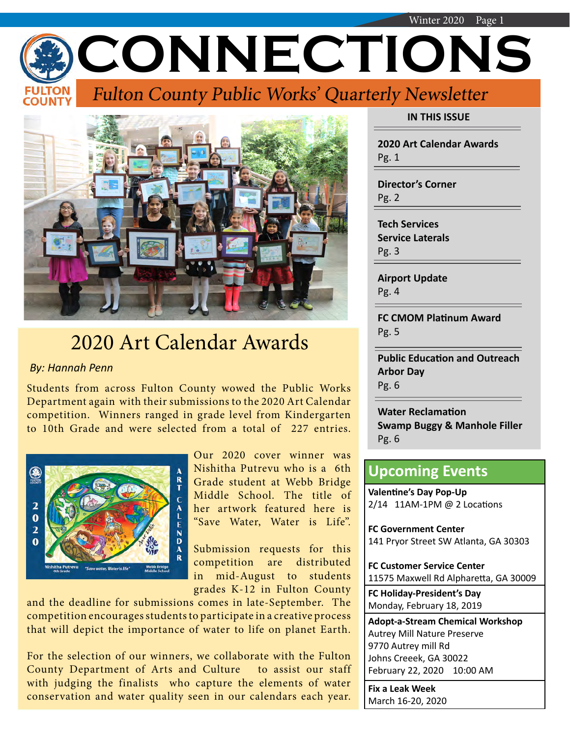Winter 2020 Page 1 **CONNECTIONS** Fulton County Public Works' Quarterly Newsletter



# 2020 Art Calendar Awards

#### *By: Hannah Penn*

Students from across Fulton County wowed the Public Works Department again with their submissions to the 2020 Art Calendar competition. Winners ranged in grade level from Kindergarten to 10th Grade and were selected from a total of 227 entries.



Our 2020 cover winner was Nishitha Putrevu who is a 6th Grade student at Webb Bridge Middle School. The title of her artwork featured here is "Save Water, Water is Life".

Submission requests for this competition are distributed in mid-August to students grades K-12 in Fulton County

and the deadline for submissions comes in late-September. The competition encourages students to participate in a creative process that will depict the importance of water to life on planet Earth.

For the selection of our winners, we collaborate with the Fulton County Department of Arts and Culture to assist our staff with judging the finalists who capture the elements of water conservation and water quality seen in our calendars each year. **IN THIS ISSUE**

**2020 Art Calendar Awards** Pg. 1

**Director's Corner** Pg. 2

**Tech Services Service Laterals** Pg. 3

**Airport Update** Pg. 4

**FC CMOM Platinum Award** Pg. 5

**Public Education and Outreach Arbor Day** Pg. 6

**Water Reclamation Swamp Buggy & Manhole Filler** Pg. 6

## **Upcoming Events**

**Valentine's Day Pop-Up** 2/14 11AM-1PM @ 2 Locations

**FC Government Center** 141 Pryor Street SW Atlanta, GA 30303

**FC Customer Service Center** 11575 Maxwell Rd Alpharetta, GA 30009

**FC Holiday-President's Day** Monday, February 18, 2019

**Adopt-a-Stream Chemical Workshop** Autrey Mill Nature Preserve 9770 Autrey mill Rd Johns Creeek, GA 30022 February 22, 2020 10:00 AM

**Fix a Leak Week** March 16-20, 2020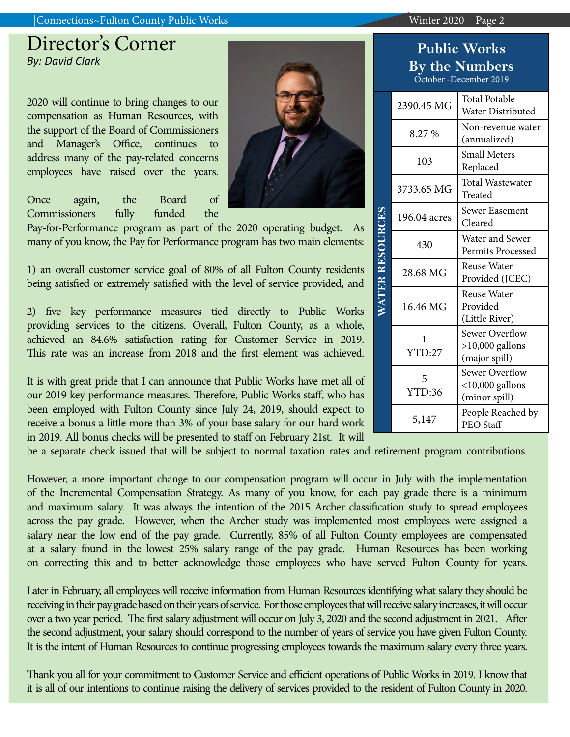#### |Connections~Fulton County Public Works Winter 2020 Page 2

## Director's Corner *By: David Clark*

2020 will continue to bring changes to our compensation as Human Resources, with the support of the Board of Commissioners and Manager's Office, continues to address many of the pay-related concerns employees have raised over the years.

Once again, the Board of Commissioners fully funded the

Pay-for-Performance program as part of the 2020 operating budget. As many of you know, the Pay for Performance program has two main elements:

1) an overall customer service goal of 80% of all Fulton County residents being satisfied or extremely satisfied with the level of service provided, and

2) five key performance measures tied directly to Public Works providing services to the citizens. Overall, Fulton County, as a whole, achieved an 84.6% satisfaction rating for Customer Service in 2019. This rate was an increase from 2018 and the first element was achieved.

It is with great pride that I can announce that Public Works have met all of our 2019 key performance measures. Therefore, Public Works staff, who has been employed with Fulton County since July 24, 2019, should expect to receive a bonus a little more than 3% of your base salary for our hard work in 2019. All bonus checks will be presented to staff on February 21st. It will

be a separate check issued that will be subject to normal taxation rates and retirement program contributions.

However, a more important change to our compensation program will occur in July with the implementation of the Incremental Compensation Strategy. As many of you know, for each pay grade there is a minimum and maximum salary. It was always the intention of the 2015 Archer classification study to spread employees across the pay grade. However, when the Archer study was implemented most employees were assigned a salary near the low end of the pay grade. Currently, 85% of all Fulton County employees are compensated at a salary found in the lowest 25% salary range of the pay grade. Human Resources has been working on correcting this and to better acknowledge those employees who have served Fulton County for years.

Later in February, all employees will receive information from Human Resources identifying what salary they should be receiving in their pay grade based on their years of service. For those employees that will receive salary increases, it will occur over a two year period. The first salary adjustment will occur on July 3, 2020 and the second adjustment in 2021. After the second adjustment, your salary should correspond to the number of years of service you have given Fulton County. It is the intent of Human Resources to continue progressing employees towards the maximum salary every three years.

Thank you all for your commitment to Customer Service and efficient operations of Public Works in 2019. I know that it is all of our intentions to continue raising the delivery of services provided to the resident of Fulton County in 2020.

|  | <b>By the Numbers</b><br>October -December 2019 |                                                              |  |  |  |
|--|-------------------------------------------------|--------------------------------------------------------------|--|--|--|
|  | 2390.45 MG                                      | <b>Total Potable</b><br>Water Distributed                    |  |  |  |
|  | 8.27 %                                          | Non-revenue water<br>(annualized)                            |  |  |  |
|  | 103                                             | <b>Small Meters</b><br>Replaced                              |  |  |  |
|  | 3733.65 MG                                      | <b>Total Wastewater</b><br>Treated                           |  |  |  |
|  | 196.04 acres                                    | Sewer Easement<br>Cleared                                    |  |  |  |
|  | 430                                             | Water and Sewer<br><b>Permits Processed</b>                  |  |  |  |
|  | 28.68 MG                                        | <b>Reuse Water</b><br>Provided (JCEC)                        |  |  |  |
|  | 16.46 MG                                        | <b>Reuse Water</b><br>Provided<br>(Little River)             |  |  |  |
|  | 1<br>YTD:27                                     | <b>Sewer Overflow</b><br>$>10,000$ gallons<br>(major spill)  |  |  |  |
|  | 5<br>YTD:36                                     | <b>Sewer Overflow</b><br>$<$ 10,000 gallons<br>(minor spill) |  |  |  |
|  | 5,147                                           | People Reached by<br>PEO Staff                               |  |  |  |

**Public Works**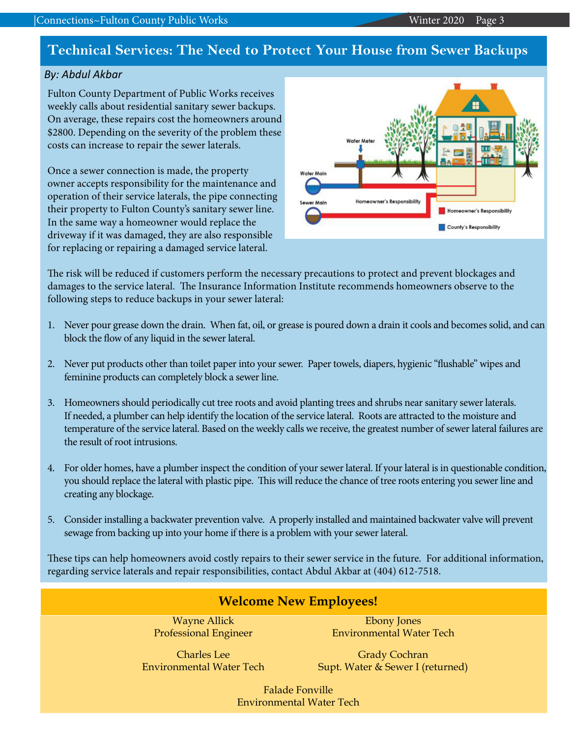## **Technical Services: The Need to Protect Your House from Sewer Backups**

#### *By: Abdul Akbar*

Fulton County Department of Public Works receives weekly calls about residential sanitary sewer backups. On average, these repairs cost the homeowners around \$2800. Depending on the severity of the problem these costs can increase to repair the sewer laterals.

Once a sewer connection is made, the property owner accepts responsibility for the maintenance and operation of their service laterals, the pipe connecting their property to Fulton County's sanitary sewer line. In the same way a homeowner would replace the driveway if it was damaged, they are also responsible for replacing or repairing a damaged service lateral.



The risk will be reduced if customers perform the necessary precautions to protect and prevent blockages and damages to the service lateral. The Insurance Information Institute recommends homeowners observe to the following steps to reduce backups in your sewer lateral:

- 1. Never pour grease down the drain. When fat, oil, or grease is poured down a drain it cools and becomes solid, and can block the flow of any liquid in the sewer lateral.
- 2. Never put products other than toilet paper into your sewer. Paper towels, diapers, hygienic "flushable" wipes and feminine products can completely block a sewer line.
- 3. Homeowners should periodically cut tree roots and avoid planting trees and shrubs near sanitary sewer laterals. If needed, a plumber can help identify the location of the service lateral. Roots are attracted to the moisture and temperature of the service lateral. Based on the weekly calls we receive, the greatest number of sewer lateral failures are the result of root intrusions.
- 4. For older homes, have a plumber inspect the condition of your sewer lateral. If your lateral is in questionable condition, you should replace the lateral with plastic pipe. This will reduce the chance of tree roots entering you sewer line and creating any blockage.
- 5. Consider installing a backwater prevention valve. A properly installed and maintained backwater valve will prevent sewage from backing up into your home if there is a problem with your sewer lateral.

These tips can help homeowners avoid costly repairs to their sewer service in the future. For additional information, regarding service laterals and repair responsibilities, contact Abdul Akbar at (404) 612-7518.

| <b>Welcome New Employees!</b>                             |                                  |  |  |  |
|-----------------------------------------------------------|----------------------------------|--|--|--|
| <b>Wayne Allick</b>                                       | <b>Ebony Jones</b>               |  |  |  |
| <b>Professional Engineer</b>                              | <b>Environmental Water Tech</b>  |  |  |  |
| <b>Charles</b> Lee                                        | <b>Grady Cochran</b>             |  |  |  |
| <b>Environmental Water Tech</b>                           | Supt. Water & Sewer I (returned) |  |  |  |
| <b>Falade Fonville</b><br><b>Environmental Water Tech</b> |                                  |  |  |  |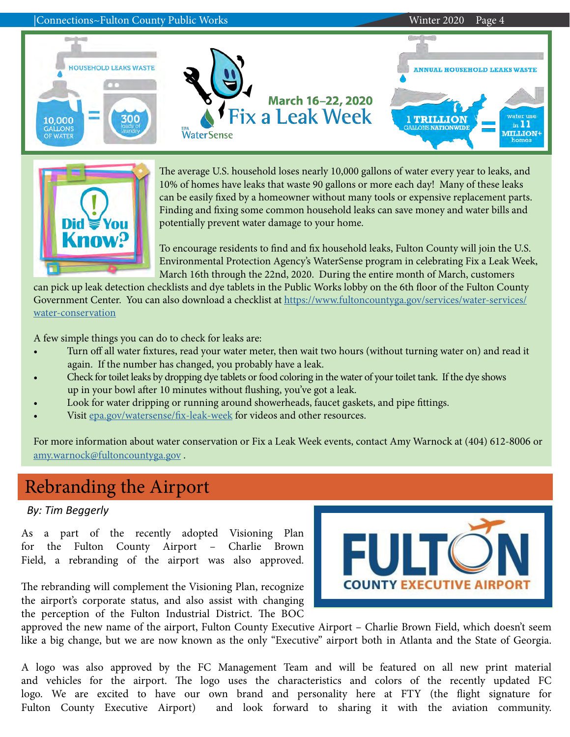



The average U.S. household loses nearly 10,000 gallons of water every year to leaks, and 10% of homes have leaks that waste 90 gallons or more each day! Many of these leaks can be easily fixed by a homeowner without many tools or expensive replacement parts. Finding and fixing some common household leaks can save money and water bills and potentially prevent water damage to your home.

To encourage residents to find and fix household leaks, Fulton County will join the U.S. Environmental Protection Agency's WaterSense program in celebrating Fix a Leak Week, March 16th through the 22nd, 2020. During the entire month of March, customers

can pick up leak detection checklists and dye tablets in the Public Works lobby on the 6th floor of the Fulton County Government Center. You can also download a checklist at [https://www.fultoncountyga.gov/services/water-services/](https://www.fultoncountyga.gov/services/water-services/water-conservation) [water-conservation](https://www.fultoncountyga.gov/services/water-services/water-conservation)

A few simple things you can do to check for leaks are:

- Turn off all water fixtures, read your water meter, then wait two hours (without turning water on) and read it again. If the number has changed, you probably have a leak.
- Check for toilet leaks by dropping dye tablets or food coloring in the water of your toilet tank. If the dye shows up in your bowl after 10 minutes without flushing, you've got a leak.
- Look for water dripping or running around showerheads, faucet gaskets, and pipe fittings.
- Visit [epa.gov/watersense/fix-leak-week](http://epa.gov/watersense/fix-leak-week) for videos and other resources.

For more information about water conservation or Fix a Leak Week events, contact Amy Warnock at (404) 612-8006 or [amy.warnock@fultoncountyga.gov](mailto:amy.warnock%40fultoncountyga.gov?subject=Fix%20a%20Leak%20Week) .

## Rebranding the Airport

#### *By: Tim Beggerly*

As a part of the recently adopted Visioning Plan for the Fulton County Airport – Charlie Brown Field, a rebranding of the airport was also approved.



The rebranding will complement the Visioning Plan, recognize the airport's corporate status, and also assist with changing the perception of the Fulton Industrial District. The BOC

approved the new name of the airport, Fulton County Executive Airport – Charlie Brown Field, which doesn't seem like a big change, but we are now known as the only "Executive" airport both in Atlanta and the State of Georgia.

A logo was also approved by the FC Management Team and will be featured on all new print material and vehicles for the airport. The logo uses the characteristics and colors of the recently updated FC logo. We are excited to have our own brand and personality here at FTY (the flight signature for Fulton County Executive Airport) and look forward to sharing it with the aviation community.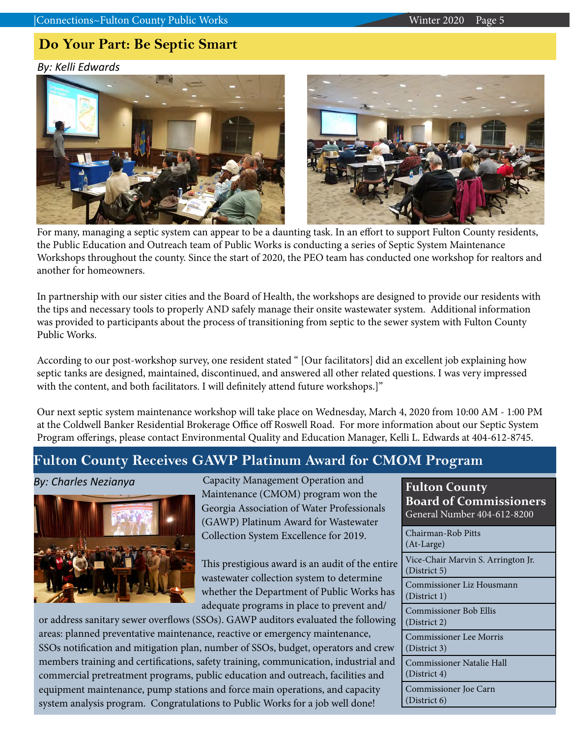## **Do Your Part: Be Septic Smart**

*By: Kelli Edwards*



For many, managing a septic system can appear to be a daunting task. In an effort to support Fulton County residents, the Public Education and Outreach team of Public Works is conducting a series of Septic System Maintenance Workshops throughout the county. Since the start of 2020, the PEO team has conducted one workshop for realtors and another for homeowners.

In partnership with our sister cities and the Board of Health, the workshops are designed to provide our residents with the tips and necessary tools to properly AND safely manage their onsite wastewater system. Additional information was provided to participants about the process of transitioning from septic to the sewer system with Fulton County Public Works.

According to our post-workshop survey, one resident stated " [Our facilitators] did an excellent job explaining how septic tanks are designed, maintained, discontinued, and answered all other related questions. I was very impressed with the content, and both facilitators. I will definitely attend future workshops.]"

Our next septic system maintenance workshop will take place on Wednesday, March 4, 2020 from 10:00 AM - 1:00 PM at the Coldwell Banker Residential Brokerage Office off Roswell Road. For more information about our Septic System Program offerings, please contact Environmental Quality and Education Manager, Kelli L. Edwards at 404-612-8745.

## **Fulton County Receives GAWP Platinum Award for CMOM Program**

*By: Charles Nezianya*



 Capacity Management Operation and Maintenance (CMOM) program won the Georgia Association of Water Professionals (GAWP) Platinum Award for Wastewater Collection System Excellence for 2019.

This prestigious award is an audit of the entire wastewater collection system to determine whether the Department of Public Works has adequate programs in place to prevent and/

or address sanitary sewer overflows (SSOs). GAWP auditors evaluated the following areas: planned preventative maintenance, reactive or emergency maintenance, SSOs notification and mitigation plan, number of SSOs, budget, operators and crew members training and certifications, safety training, communication, industrial and commercial pretreatment programs, public education and outreach, facilities and equipment maintenance, pump stations and force main operations, and capacity system analysis program. Congratulations to Public Works for a job well done!

| <b>Fulton County</b><br><b>Board of Commissioners</b><br>General Number 404-612-8200 |  |
|--------------------------------------------------------------------------------------|--|
| Chairman-Rob Pitts<br>(At-Large)                                                     |  |
| Vice-Chair Marvin S. Arrington Jr.<br>(District 5)                                   |  |
| Commissioner Liz Housmann<br>(District 1)                                            |  |
| Commissioner Bob Ellis<br>(District 2)                                               |  |
| Commissioner Lee Morris<br>(District 3)                                              |  |
| Commissioner Natalie Hall<br>(District 4)                                            |  |
| Commissioner Joe Carn<br>(District 6)                                                |  |